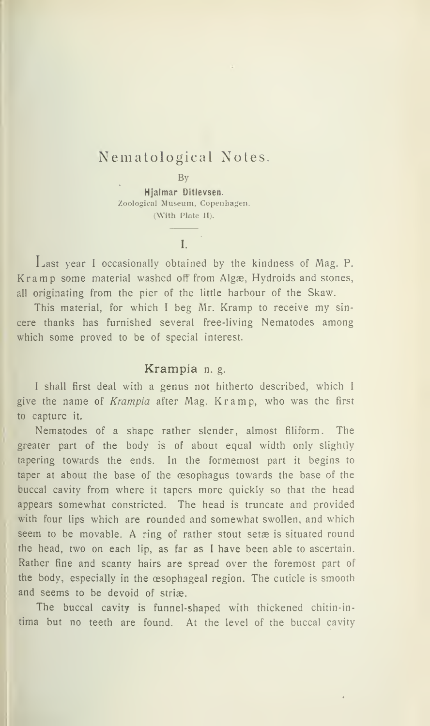# Nematological Notes

By

Hjalmar Ditlevsen. Zoological Museum, Copenhagen. (With Plate II).

I.

Last year <sup>I</sup> occasionally obtained by the kindness of Mag. P. Kramp some material washed off from Algæ, Hydroids and stones, all originating from the pier of the little harbour of the Skaw.

This material, for which <sup>I</sup> beg Mr. Kramp to receive my sin cere thanks has furnished several free-living Nematodes among which some proved to be of special interest.

#### Krampia n. g.

I shall first deal with a genus not hitherto described, which I give the name of *Krampia* after Mag. Kramp, who was the first to capture it.

Nematodes of a shape rather slender, almost filiform. The greater part of the body is of about equal width only slightly tapering towards the ends. In the formemost part it begins to taper at aboui the base of the æsophagus towards the base of the buccal cavity from where it tapers more quickly so that the head appears somewhat constricted. The head is truncate and provided with four lips which are rounded and somewhat swollen, and which seem to be movable. A ring of rather stout setæ is situated round the head, two on each lip, as far as <sup>I</sup> have been able to ascertain. Rather fine and scanty hairs are spread over the foremost part of the body, especially in the æsophageal region. The cuticle is smooth and seems to be devoid of striæ.

The buccal cavity is funnel-shaped with thickened chitin-in tima but no teeth are found. At the level of the buccal cavity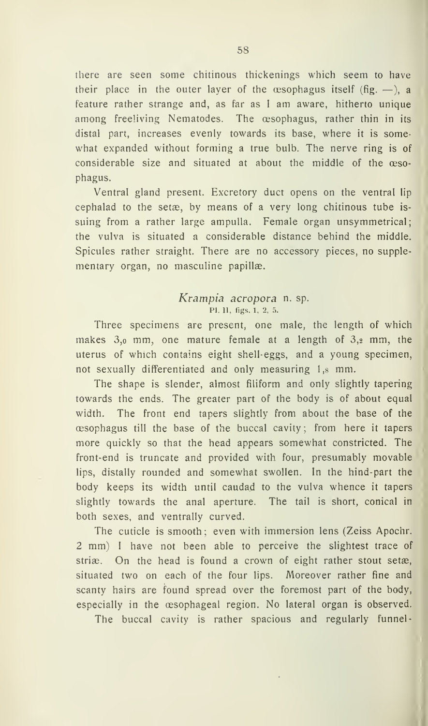there are seen some chitinous thickenings which seem to have their place in the outer layer of the  $\infty$  pophagus itself (fig. -), a feature rather strange and, as far as I am aware, hitherto unique among freeliving Nematodes. The æsophagus, rather thin in its distal part, increases evenly towards its base, where it is somewhat expanded without forming a true bulb. The nerve ring is of considerable size and situated at about the middle of the æsophagus.

Ventral gland present. Excretory duct opens on the ventral lip cephalad to the setæ, by means of a very long chitinous tube issuing from a rather large ampulla. Female organ unsymmetrical; the vulva is situated a considerable distance behind the middle. Spicules rather straight. There are no accessory pieces, no supplementary organ, no masculine papillæ.

### Krampia acropora n. sp. .<br>Pl. 11, figs. 1, 2, 5.

Three specimens are present, one male, the length of which makes 3,o mm, one mature female at <sup>a</sup> length of 3,2 mm, the uterus of which contains eight shell-eggs, and a young specimen, not sexually differentiated and only measuring 1,8 mm.

The shape is slender, almost filiform and only slightly tapering towards the ends. The greater part of the body is of about equal width. The front end tapers slightly from about the base of the æsophagus till the base of the buccal cavity ; from here it tapers ^ more quickly so that the head appears somewhat constricted. The front-end is truncate and provided with four, presumably movable lips, distally rounded and somewhat swollen. In the hind-part the body keeps its width until caudad to the vulva whence it tapers slightly towards the anal aperture. The tail is short, conical in both sexes, and ventrally curved.

The cuticle is smooth; even with immersion lens (Zeiss Apochr. 2 mm) I have not been able to perceive the slightest trace of striæ. On the head is found a crown of eight rather stout setæ, situated two on each of the four lips. Moreover rather fine and scanty hairs are found spread over the foremost part of the body, especially in the æsophageal region. No lateral organ is observed.

The buccal cavity is rather spacious and regularly funnel-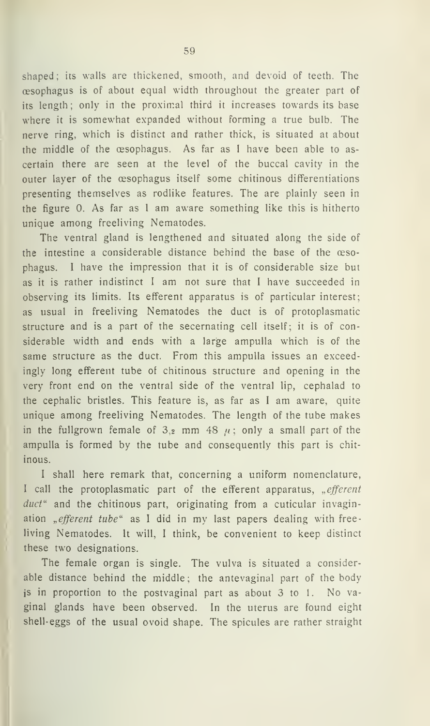shaped ; its walls are thickened, smooth, and devoid of teeth. The æsophagus is of about equal width throughout the greater part of its length; only in the proximal third it increases towards its base where it is somewhat expanded without forming a true bulb. The nerve ring, which is distinct and rather thick, is situated at about the middle of the æsophagus. As far as <sup>I</sup>have been able to as certain there are seen at the level of the buccal cavity in the outer layer of the æsophagus itself some chitinous differentiations presenting themselves as rodlike features. The are plainly seen in the figure 0. As far as <sup>I</sup>am aware something like this is hitherto unique among freeliving Nematodes.

The ventral gland is lengthened and situated along the side of the intestine a considerable distance behind the base of the æsophagus. <sup>I</sup> have the impression that it is of considerable size but as it is rather indistinct <sup>I</sup> am not sure that <sup>I</sup> have succeeded in observing its limits. Its efferent apparatus is of particular interest; as usual in freeliving Nematodes the duet is of protoplasmatic structure and is a part of the secernating cell itself; it is of considerable width and ends with a large ampulla which is of the same structure as the duet. From this ampulla issues an exceedingly long efferent tube of chitinous structure and opening in the very front end on the ventral side of the ventral lip, cephalad to the cephalic bristles. This feature is, as far as <sup>I</sup> am aware, quite unique among freeliving Nematodes. The length of the tube makes in the fullgrown female of 3,2 mm 48  $\mu$ ; only a small part of the ampulla is formed by the tube and consequently this part is chit inous.

<sup>I</sup> shall here remark that, concerning a uniform nomenclature, I call the protoplasmatic part of the efferent apparatus, "efferent  $duct<sup>u</sup>$  and the chitinous part, originating from a cuticular invagination "efferent tube" as I did in my last papers dealing with freeliving Nematodes. It will, <sup>I</sup> think, be convenient to keep distinct these two designations.

The female organ is single. The vulva is situated <sup>a</sup> considerable distance behind the middle: the antevaginal part of the body is in proportion to the postvaginal part as about 3 to <sup>1</sup>. No vaginal glands have been observed. In the uterus are found eight shell-eggs of the usual ovoid shape. The spicules are rather straight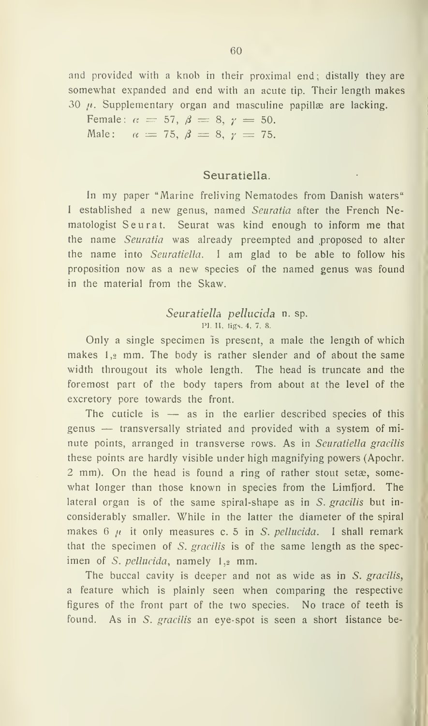and provided with a knob in their proximal end; distally they are somewhat expanded and end with an acute tip. Their length makes  $30 \mu$ . Supplementary organ and masculine papillæ are lacking.

Female:  $\alpha = 57, \beta = 8, \gamma = 50.$ Male:  $\alpha = 75, \beta = 8, \gamma = 75.$ 

### Seuratiella.

In my paper "Marine freliving Nematodes from Danish waters" I established a new genus, named Seuratia after the French Nematologist Seurat. Seurat was kind enough to inform me that the name Seuratia was already preempted and proposed to alter the name into Seuratiella. <sup>I</sup> am glad to be able to follow his proposition now as <sup>a</sup> new species of the named genus was found in the material from the Skaw.

#### Seuratiella pellucida n. sp. PI. II, figs. 4, 7, 8.

Only a single specimen is present, a male the length of which makes 1,2 mm. The body is rather slender and of about the same width througout its whole length. The head is truncate and the foremost part of the body tapers from about at the level of the excretory pore towards the front.

The cuticle is — as in the earlier described species of this genus — transversally striated and provided with <sup>a</sup> system of mi nute points, arranged in transverse rows. As in Seuratiella gracilis these points are hardly visible under high magnifying powers (Apochr. 2 mm). On the head is found <sup>a</sup> ring of rather stout setæ, somewhat longer than those known in species from the Limfjord. The lateral organ is of the same spiral-shape as in  $S$ . gracilis but inconsiderably smaller. While in the latter the diameter of the spiral makes  $6 \mu$  it only measures c. 5 in S. pellucida. I shall remark that the specimen of  $S$ . gracilis is of the same length as the specimen of S. pellucida, namely 1,2 mm.

The buccal cavity is deeper and not as wide as in S. gracilis, a feature which is plainly seen when comparing the respective figures of the front part of the two species. No trace of teeth is found. As in S. gracilis an eye-spot is seen a short listance be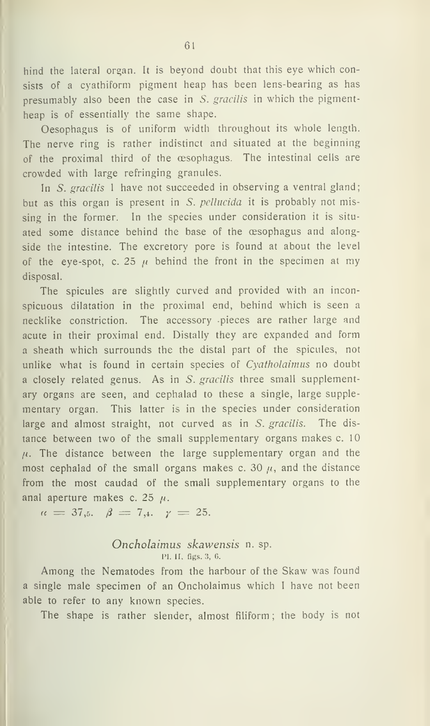hind the lateral organ. It is beyond doubt that this eye which consists of <sup>a</sup> cyathiform pigment heap has been lens-bearing as has presumably also been the case in S. gracilis in which the pigmentheap is of essentially the same shape.

Oesophagus is of uniform width throughout its whole length. The nerve ring is rather indistinct and situated at the beginning of the proximal third of the æsophagus. The intestinal cells are crowded with large refringing granules.

In S. gracilis 1 have not succeeded in observing a ventral gland; but as this organ is present in S. pellucida it is probably not missing in the former. In the species under consideration it is situ ated some distance behind the base of the æsophagus and alongside the intestine. The excretory pore is found at about the level of the eye-spot, c. 25  $\mu$  behind the front in the specimen at my disposal.

The spicules are slightly curved and provided with an inconspicuous dilatation in the proximal end, behind which is seen a necklike constriction. The accessory -pieces are rather large and acute in their proximal end. Distally they are expanded and form a sheath which surrounds the the distal part of the spicules, not unlike what is found in certain species of Cyatholaimus no doubt a closely related genus. As in S. gracilis three small supplementary organs are seen, and cephalad to these a single, large supplementary organ. This latter is in the species under consideration large and almost straight, not curved as in S. gracilis. The distance between two of the small supplementary organs makes c.10  $\mu$ . The distance between the large supplementary organ and the most cephalad of the small organs makes c. 30  $\mu$ , and the distance from the most caudad of the small supplementary organs to the anal aperture makes c. 25  $\mu$ .

 $\alpha = 37.5.$   $\beta = 7.4.$   $\gamma = 25.$ 

### Oncholaimus skawensis n. sp. PI. II. figs. 3, G.

Among the Nematodes from the harbour of the Skaw was found <sup>a</sup> single male specimen of an Oncholaimus which <sup>I</sup> have not been able to refer to any known species.

The shape is rather slender, almost filiform ; the body is not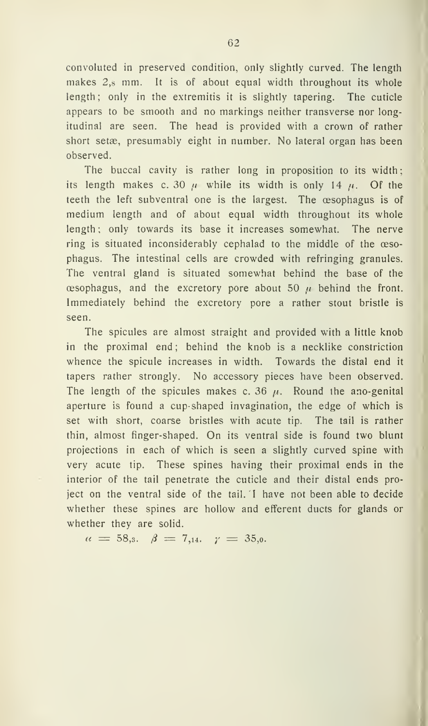convoluted in preserved condition, only slightly curved. The length makes 2,8 mm. It is of about equal width throughout its whole length; only in the extremitis it is slightly tapering. The cuticle appears to be smooth and no markings neither transverse nor longitudinal are seen. The head is provided with <sup>a</sup> crown of rather Short setæ, presumably eight in number. No lateral organ has been observed.

The buccal cavity is rather long in proposition to its width; its length makes c. 30  $\mu$  while its width is only 14  $\mu$ . Of the teeth the left subventral one is the largest. The æsophagus is of medium length and of about equal width throughout its whole length; only towards its base it increases somewhat. The nerve ring is situated inconsiderably cephalad to the middle of the æsophagus. The intestinal cells are crowded with refringing granules. The ventral gland is situated somewhat behind the base of the esophagus, and the excretory pore about 50  $\mu$  behind the front. Immediately behind the excretory pore a rather stout bristle is seen.

The spicules are almost straight and provided with a little knob in the proximal end; behind the knob is a necklike constriction whence the spicule increases in width. Towards the distal end it tapers rather strongly. No accessory pieces have been observed. The length of the spicules makes c. 36  $\mu$ . Round the ano-genital aperture is found a cup-shaped invagination, the edge of which is set with short, coarse bristles with acute tip. The tail is rather thin, almost finger-shaped. On its ventral side is found two blunt projections in each of which is seen a slightly curved spine with very acute tip. These spines having their proximal ends in the interior of the tail penetrate the cuticle and their distal ends project on the ventral side of the tail. <sup>I</sup> have not been able to decide whether these spines are hollow and efferent ducts for glands or whether they are solid.

$$
a = 58,3. \quad \beta = 7,14. \quad \gamma = 35,0.
$$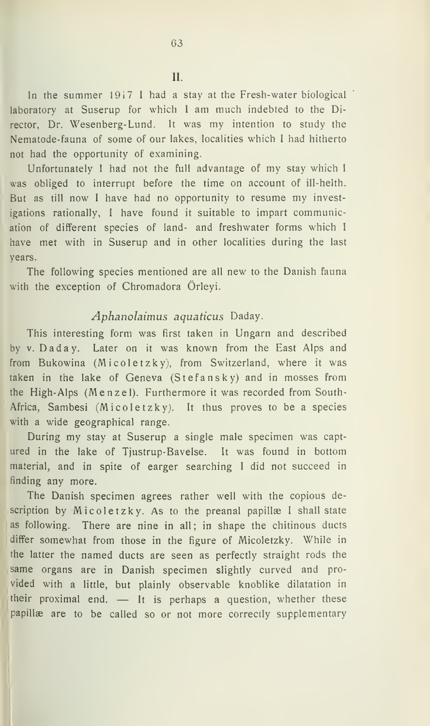II.

In the summer  $1917$  I had a stay at the Fresh-water biological laboratory at Suserup for which <sup>I</sup> am much indebted to the Director, Dr. Wesenberg-Lund. It was my intention to study the Nematode-fauna of some of our lakes, localities which <sup>I</sup> had hitherto not had the opportunity of examining.

Unfortunately <sup>I</sup> had not the full advantage of my stay which <sup>I</sup> was obliged to interrupt before the time on account of ill-helth. But as till now <sup>I</sup> have had no opportunity to resume my investigations rationally, <sup>I</sup> have found it suitable to impart communication of different species of land- and freshwater forms which <sup>I</sup> have met with in Suserup and in other localities during the last years.

The following species mentioned are all new to the Danish fauna with the exception of Chromadora Örleyi.

### Aphanolaimus aquaticus Daday.

This interesting form was first taken in Ungarn and described by V. Daday. Later on it was known from the East Alps and from Bukowina (Micole tzky), from Switzerland, where it was taken in the lake of Geneva (Stefan sky) and in mosses from the High- Alps (Menzel). Furthermore it was recorded from South-Africa, Sambesi (Micoletzky). It thus proves to be a species with a wide geographical range.

During my stay at Suserup <sup>a</sup> single male specimen was captured in the lake of Tjustrup-Bavelse. It was found in bottom material, and in spite of earger searching I did not succeed in finding any more.

The Danish specimen agrees rather well with the copious description by Micoletzky. As to the preanal papillæ I shall state as following. There are nine in all; in shape the chitinous ducts differ somewhat from those in the figure of Micoletzky. While in the latter the named duets are seen as perfectly straight rods the same organs are in Danish specimen slightly curved and pro vided with a little, but plainly observable knoblike dilatation in their proximal end. — It is perhaps <sup>a</sup> question, whether these papillæ are to be cailed so or not more correctly supplementary

I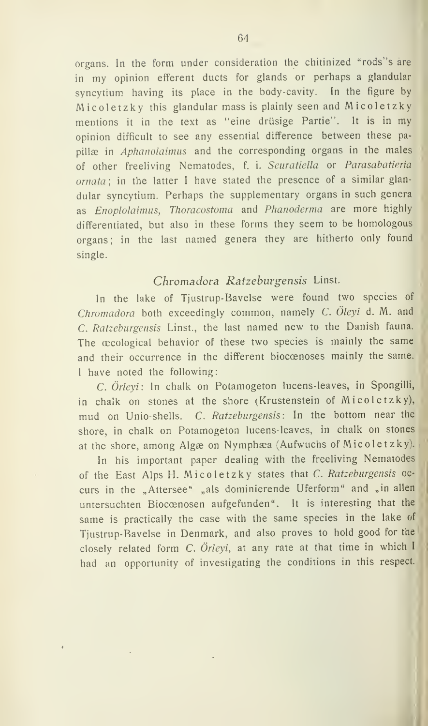organs. In the form under consideration the chitinized "rods"s are in my opinion efferent ducts for glands or perhaps a glandular syncytium having its place in the body-cavity. In the figure by Micoletzky this glandular mass is plainly seen and Micoletzky mentions it in the text as "eine drusige Partie". It is in my opinion difficult to see any essential difference between these pa pillæ in *Aphanolaimus* and the corresponding organs in the males of other freeliving Nematodes, f. i. Seuratiella or Parasabatieria ornata ; in the latter <sup>I</sup> have stated the presence of a similar glan dular syncytium. Perhaps the supplementary organs in such genera as Enoplolaimus, Thoracostoma and Phanoderma are more highly differentiated, but also in these forms they seem to be homologous organs; in the last named genera they are hitherto only found single.

# Chromadora Ratzeburgensis Linst.

In the lake of Tjustrup-Bavelse were found two species of Chromadora both exceedingly common, namely C. Oleyi d. M. and C. Ratzeburgensis Linst., the last named new to the Danish fauna. The æcological behavior of these two species is mainly the same and their occurrence in the different biocænoses mainly the same. <sup>I</sup> have noted the following:

C. Orleyi: In chalk on Potamogeton lucens-leaves, in Spongilli, in chalk on stones at the shore (Krustenstein of Micoletzky), mud on Unio-shells. C. Ratzeburgensis: In the bottom near the shore, in chalk on Potamogeton lucens-leaves, in chalk on stones at the shore, among Algæ on Nymphæa (Aufwuchs of Micoletzky).

In his important paper dealing with the freeliving Nematodes of the East Alps H. Micoletzky states that C. Ratzeburgensis oc curs in the "Attersee" "als dominierende Uferform" and "in allen untersuchten Bioccenosen aufgefunden". It is interesting that the same is practically the case with the same species in the lake of Tjustrup-Bavelse in Denmark, and also proves to hold good for the closely related form C. Orleyi, at any rate at that time in which <sup>I</sup> had an opportunity of investigating the conditions in this respect.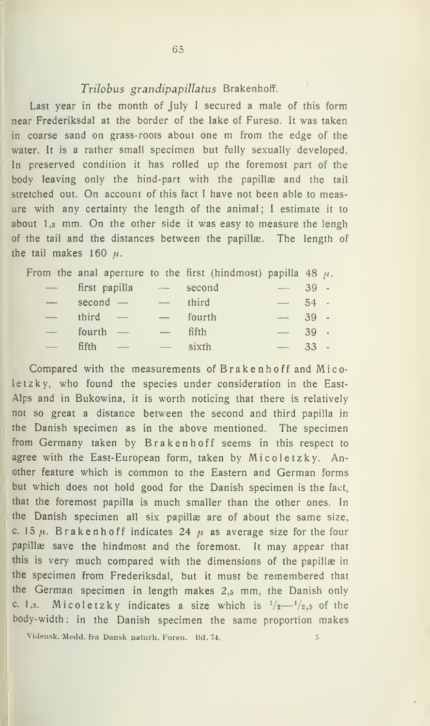### Trilobus grandipapillatus Brakenhoff.

Last year in the month of July I secured a male of this form near Frederiksdal at the border of the lake of Furesø. It was taken in coarse sand on grass-roots about one m from the edge of the water. It is a rather small specimen but fully sexually developed. In preserved condition it has rolled up the foremost part of the body leaving only the hind-part with the papillæ and the tail stretched out. On account of this faet <sup>I</sup> have not been able to measure with any certainty the length of the animal; <sup>I</sup> estimate it to about 1,3 mm. On the other side it was easy to measure the lengh of the tail and the distances between the papillæ. The length of the tail makes 160  $\mu$ .

|                     |                                   |                                                                                                                                         | From the anal aperture to the first (hindmost) papilla 48 $\mu$ . |         |  |
|---------------------|-----------------------------------|-----------------------------------------------------------------------------------------------------------------------------------------|-------------------------------------------------------------------|---------|--|
|                     | - first papilla                   | $\label{eq:1} \begin{aligned} \text{supp} \, \mathcal{L}_{\text{max}}(\mathbf{x}) = \mathcal{L}_{\text{max}}(\mathbf{x}) \end{aligned}$ | second                                                            | $-39$ - |  |
| and the contract of | $second -$                        | $\frac{1}{2}$                                                                                                                           | third                                                             | $-54$   |  |
|                     | third $-$                         | $\overline{\phantom{a}}$                                                                                                                | fourth                                                            | $-39$ . |  |
|                     | fourth $-$                        |                                                                                                                                         | fifth                                                             | $-39$ . |  |
|                     | fifth<br>$\overline{\phantom{a}}$ |                                                                                                                                         | sixth                                                             | $33 -$  |  |

Compared with the measurements of Brakenhoff and Micoletzky, who found the species under consideration in the East- Alps and in Bukowina, it is worth noticing that there is relatively not so great a distance between the second and third papilla in the Danish specimen as in the above mentioned. The specimen from Germany taken by Brakenhoff seems in this respect to agree with the East-European form, taken by Micoletzky. Another feature which is common to the Eastern and German forms but which does not hold good for the Danish specimen is the faet, that the foremost papilla is much smaller than the other ones. In the Danish specimen all six papillæ are of about the same size, c. 15  $\mu$ . Brakenhoff indicates 24  $\mu$  as average size for the four papillæ save the hindmost and the foremost. It may appear that this is very much compared with the dimensions of the papillæ in the specimen from Frederiksdal, but it must be remembered that the German specimen in length makes 2,5 mm, the Danish only c. 1,3. Micoletzky indicates a size which is  $\frac{1}{2} - \frac{1}{2}$ , of the body-width: in the Danish specimen the same proportion makes

Vidensk. Medd. fra Dansk naturh. Foren. Bd. 74. 5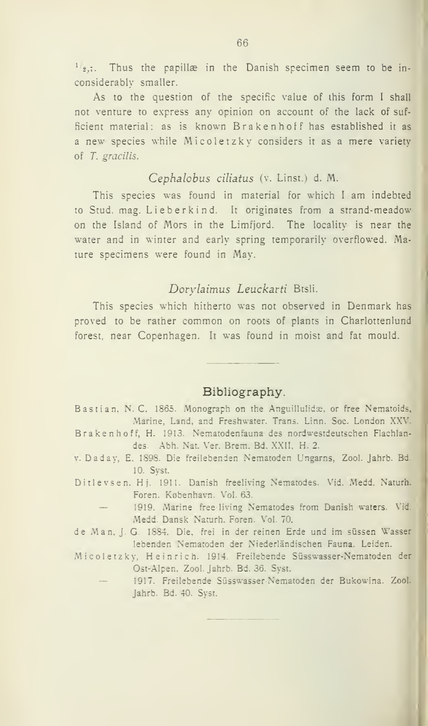$1_{2,7}$ . Thus the papillæ in the Danish specimen seem to be inconsiderably smaller.

As to the question of the specific value of ihis form <sup>I</sup> shall not venture to express any opinion on account of the lack of sufficient material: as is known Brakenhoff has established it as <sup>a</sup> new species while Micoletzky considers it as <sup>a</sup> mere variety of T. gracilis.

### Cephalobus ciliatus (v. Linst.) d. M.

This species was found in material for which <sup>1</sup> am indebted to Stud. mag. Lieberkind. It originates from <sup>a</sup> strand-meadow on the Island of Mors in the Limfjord. The locality is near the water and in winter and early spring temporarily overflowed. Mature specimens were found in May.

## Dorylaimus Leuckarti Btsli.

This species which hitherto was not observed in Denmark has proved to be rather common on roots of piants in Charlottenlund forest. near Copenhagen. It was found in moist and fat mould.

### Bibliography.

- Bastian, N. C. 1865. Monograph on the Anguillulidæ, or free Nematoids, Marine, Land, and Freshwater. Trans. Linn. Soc. London XXV.
- Brakenhoff, H. 1913. Nematodenfauna des nordwestdeutschen Flachlandes. Abh. Nat. Ver. Brem. Bd. XXII, H. 2.
- V. Daday, E. 1898. Die freilebenden Nematoden Ungarns, Zool. Jahrb. Bd. 10. Syst.
- Ditlevsen. Hj. 1911. Danish freeliving Nematodes. Vid. Medd. Naturh. Foren. København. Vol. 63.<br>1919. Marine free-living Nematodes from Danish waters. Vid.
	- Medd. Dansk Naturh. Foren. Vol. 70.
- de Man. J. G. 1884. Die, frei in der reinen Erde und im sussen Wasser lebenden Nematoden der Niederlåndischen Fauna. Leiden.
- Micoletzky, Heinrich. 1914. Freilebende Süsswasser-Nematoden der
	- Ost-Alpen, Zool. Jahrb. Bd. 36. Syst.<br>1917. Freilebende Süsswasser-Nematoden der Bukowina. Zool. Jahrb. Bd. 40. Syst.

J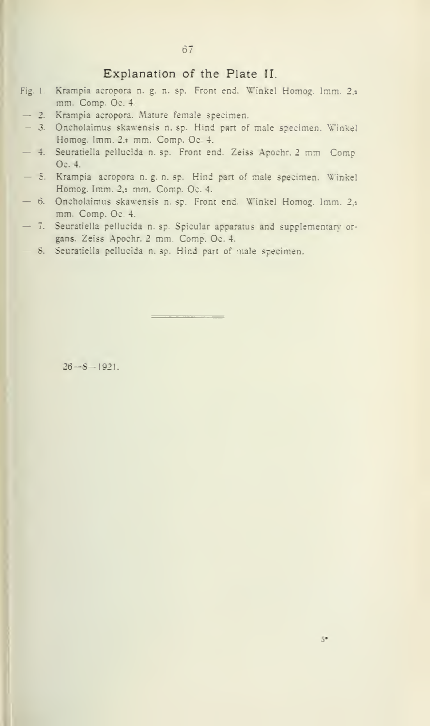### Explanation of the Plate II.

- Fig. 1. Krampia acropora n. g. n. sp. Front end. Winkel Homog. Imm. 2, mm. Comp. Oc. 4.
- 
- mm. Comp. Comp. Comp. Comp. Comp. Comp. Comp. Comp. Comp. Oc. 4. Assume and part of male specimen. Winkel Homog. Imm. 2.1 mm. Comp. Oc. 4.
- $-4$ . Seuratiella pellucida n. sp. Front end. Zeiss Apochr. 2 mm Comp.<br>Oc. 4.
- 5. Krampia acropora n. g. n. sp. Hind part of male specimen. Winkel Homog. Imm. 2,s mm. Comp. Oc. 4.<br>
- 6. Oncholaimus skawensis n. sp. Front end. Winkel Homog. Imm. 2,1
- mm. Comp. Oc. 4.<br>— 7. Seuratiella pellucida n. sp. Spicular apparatus and supplementary or-
- gans. Zeiss Apochr. 2 mm. Comp. Oc. 4.<br>
 8. Seuratiella pellucida n. sp. Hind part of male specimen.

\_\_\_\_\_\_\_\_\_\_\_

26—8—1921.